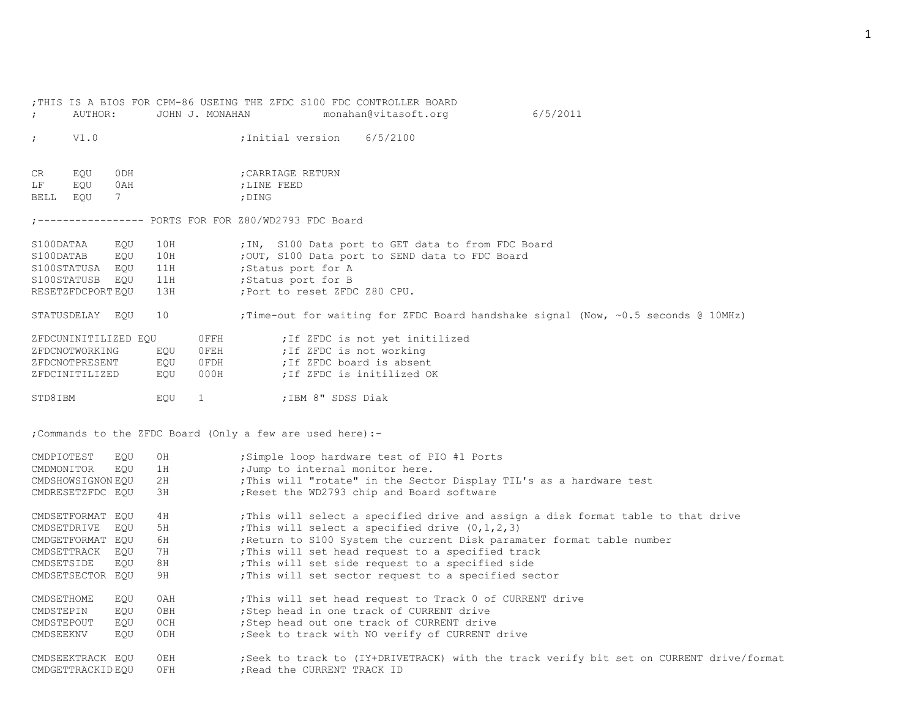| $\ddot{ }$  | AUTHOR:              |          |      | JOHN J. MONAHAN | ; THIS IS A BIOS FOR CPM-86 USEING THE ZFDC S100 FDC CONTROLLER BOARD | monahan@vitasoft.org            | 6/5/2011                                                                                 |
|-------------|----------------------|----------|------|-----------------|-----------------------------------------------------------------------|---------------------------------|------------------------------------------------------------------------------------------|
| $\ddot{ }$  | V1.0                 |          |      |                 | ;Initial version                                                      | 6/5/2100                        |                                                                                          |
| CR          | EQU                  | ODH      |      |                 | CARRIAGE RETURN                                                       |                                 |                                                                                          |
| LF<br>BELL  | EQU<br>EOU           | 0AH<br>7 |      |                 | ;LINE FEED<br>; DING                                                  |                                 |                                                                                          |
|             |                      |          |      |                 |                                                                       |                                 |                                                                                          |
| S100DATAA   |                      | EQU      | 10H  |                 | ; IN, S100 Data port to GET data to from FDC Board                    |                                 |                                                                                          |
| S100DATAB   |                      | EQU      | 10H  |                 | ; OUT, S100 Data port to SEND data to FDC Board                       |                                 |                                                                                          |
|             | S100STATUSA EQU      |          | 11H  |                 | ;Status port for A                                                    |                                 |                                                                                          |
| S100STATUSB |                      | EQU      | 11H  |                 | ;Status port for B                                                    |                                 |                                                                                          |
|             | RESETZFDCPORT EQU    |          | 13H  |                 | ; Port to reset ZFDC Z80 CPU.                                         |                                 |                                                                                          |
|             | STATUSDELAY EQU      |          | 10   |                 |                                                                       |                                 | ; Time-out for waiting for ZFDC Board handshake signal (Now, $\sim 0.5$ seconds @ 10MHz) |
|             | ZFDCUNINITILIZED EQU |          |      | $0$ FFH         |                                                                       | ; If ZFDC is not yet initilized |                                                                                          |
|             | ZFDCNOTWORKING       |          | EQU  | $0$ FEH         | ; If ZFDC is not working                                              |                                 |                                                                                          |
|             | ZFDCNOTPRESENT       |          | EQU  | OFDH            | ; If ZFDC board is absent                                             |                                 |                                                                                          |
|             | ZFDCINITILIZED       |          | EQU  | 000H            | ; If ZFDC is initilized OK                                            |                                 |                                                                                          |
| STD8IBM     |                      |          | EQU  | $\mathbf{1}$    | ;IBM 8" SDSS Diak                                                     |                                 |                                                                                          |
|             |                      |          |      |                 | ; Commands to the ZFDC Board (Only a few are used here) :-            |                                 |                                                                                          |
| CMDPIOTEST  |                      | EQU      | 0H   |                 | ;Simple loop hardware test of PIO #1 Ports                            |                                 |                                                                                          |
| CMDMONITOR  |                      | EQU      | 1H   |                 | ; Jump to internal monitor here.                                      |                                 |                                                                                          |
|             | CMDSHOWSIGNON EOU    |          | 2H   |                 |                                                                       |                                 | ; This will "rotate" in the Sector Display TIL's as a hardware test                      |
|             | CMDRESETZFDC EQU     |          | ЗH   |                 | ; Reset the WD2793 chip and Board software                            |                                 |                                                                                          |
|             | CMDSETFORMAT EQU     |          | 4 H  |                 |                                                                       |                                 | This will select a specified drive and assign a disk format table to that drive          |
| CMDSETDRIVE |                      | EOU      | 5H   |                 | ; This will select a specified drive $(0,1,2,3)$                      |                                 |                                                                                          |
|             | CMDGETFORMAT EQU     |          | 6H   |                 |                                                                       |                                 | ; Return to S100 System the current Disk paramater format table number                   |
| CMDSETTRACK |                      | EQU      | 7 H  |                 | ; This will set head request to a specified track                     |                                 |                                                                                          |
| CMDSETSIDE  |                      | EQU      | 8H   |                 | ; This will set side request to a specified side                      |                                 |                                                                                          |
|             | CMDSETSECTOR EQU     |          | 9H   |                 | ; This will set sector request to a specified sector                  |                                 |                                                                                          |
| CMDSETHOME  |                      | EQU      | 0AH  |                 | ; This will set head request to Track 0 of CURRENT drive              |                                 |                                                                                          |
| CMDSTEPIN   |                      | EQU      | 0BH  |                 | ; Step head in one track of CURRENT drive                             |                                 |                                                                                          |
| CMDSTEPOUT  |                      | EQU      | OCH  |                 | ; Step head out one track of CURRENT drive                            |                                 |                                                                                          |
| CMDSEEKNV   |                      | EQU      | 0 DH |                 | ; Seek to track with NO verify of CURRENT drive                       |                                 |                                                                                          |
|             | CMDSEEKTRACK EOU     |          | 0EH  |                 |                                                                       |                                 | ; Seek to track to (IY+DRIVETRACK) with the track verify bit set on CURRENT drive/format |
|             | CMDGETTRACKID EQU    |          | OFH  |                 | ; Read the CURRENT TRACK ID                                           |                                 |                                                                                          |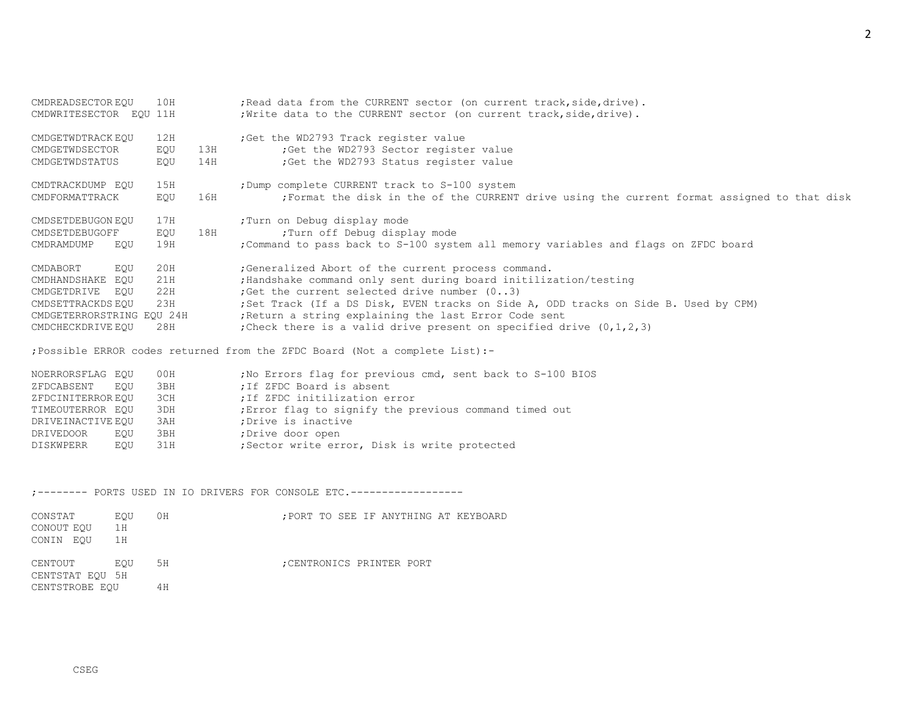| CMDREADSECTOR EQU         | 10H |     | ; Read data from the CURRENT sector (on current track, side, drive).                       |
|---------------------------|-----|-----|--------------------------------------------------------------------------------------------|
| CMDWRITESECTOR EOU 11H    |     |     | ; Write data to the CURRENT sector (on current track, side, drive).                        |
| CMDGETWDTRACK EQU         | 12H |     | ; Get the WD2793 Track register value                                                      |
| CMDGETWDSECTOR            | EQU | 13H | ; Get the WD2793 Sector register value                                                     |
| CMDGETWDSTATUS            | EQU | 14H | ; Get the WD2793 Status register value                                                     |
| CMDTRACKDUMP EQU          | 15H |     | ; Dump complete CURRENT track to S-100 system                                              |
| CMDFORMATTRACK            | EQU | 16H | Format the disk in the of the CURRENT drive using the current format assigned to that disk |
| CMDSETDEBUGON EQU         | 17H |     | ; Turn on Debug display mode                                                               |
| CMDSETDEBUGOFF            | EQU | 18H | ;Turn off Debug display mode                                                               |
| CMDRAMDUMP<br>EOU         | 19H |     | ; Command to pass back to S-100 system all memory variables and flags on ZFDC board        |
| CMDABORT<br>EOU           | 20H |     | ; Generalized Abort of the current process command.                                        |
| CMDHANDSHAKE<br>EOU       | 21H |     | ; Handshake command only sent during board initilization/testing                           |
| CMDGETDRIVE<br>EOU        | 22H |     | ; Get the current selected drive number $(03)$                                             |
| CMDSETTRACKDS EQU         | 23H |     | ; Set Track (If a DS Disk, EVEN tracks on Side A, ODD tracks on Side B. Used by CPM)       |
| CMDGETERRORSTRING EOU 24H |     |     | Return a string explaining the last Error Code sent                                        |
| CMDCHECKDRIVE EQU         | 28H |     | ; Check there is a valid drive present on specified drive $(0, 1, 2, 3)$                   |

;Possible ERROR codes returned from the ZFDC Board (Not a complete List):-

| NOERRORSFLAG EQU  |     | 00H | ; No Errors flag for previous cmd, sent back to S-100 BIOS |
|-------------------|-----|-----|------------------------------------------------------------|
| ZFDCABSENT        | EOU | 3BH | ; If ZFDC Board is absent                                  |
| ZFDCINITERROR EQU |     | 3CH | ; If ZFDC initilization error                              |
| TIMEOUTERROR EOU  |     | 3DH | ; Error flag to signify the previous command timed out     |
| DRIVEINACTIVE EOU |     | 3AH | ; Drive is inactive                                        |
| DRIVEDOOR         | EOU | 3BH | ;Drive door open                                           |
| DISKWPERR         | EOU | 31H | ; Sector write error, Disk is write protected              |

;-------- PORTS USED IN IO DRIVERS FOR CONSOLE ETC.------------------

| CONSTAT<br>CONOUT EOU<br>CONIN EOU | EOU<br>1H<br>1H | 0H  |  |  | ; PORT TO SEE IF ANYTHING AT KEYBOARD |  |
|------------------------------------|-----------------|-----|--|--|---------------------------------------|--|
| CENTOUT<br>CENTSTAT EOU 5H         | EOU             | 5H  |  |  | : CENTRONICS PRINTER PORT             |  |
| CENTSTROBE EOU                     |                 | 4 H |  |  |                                       |  |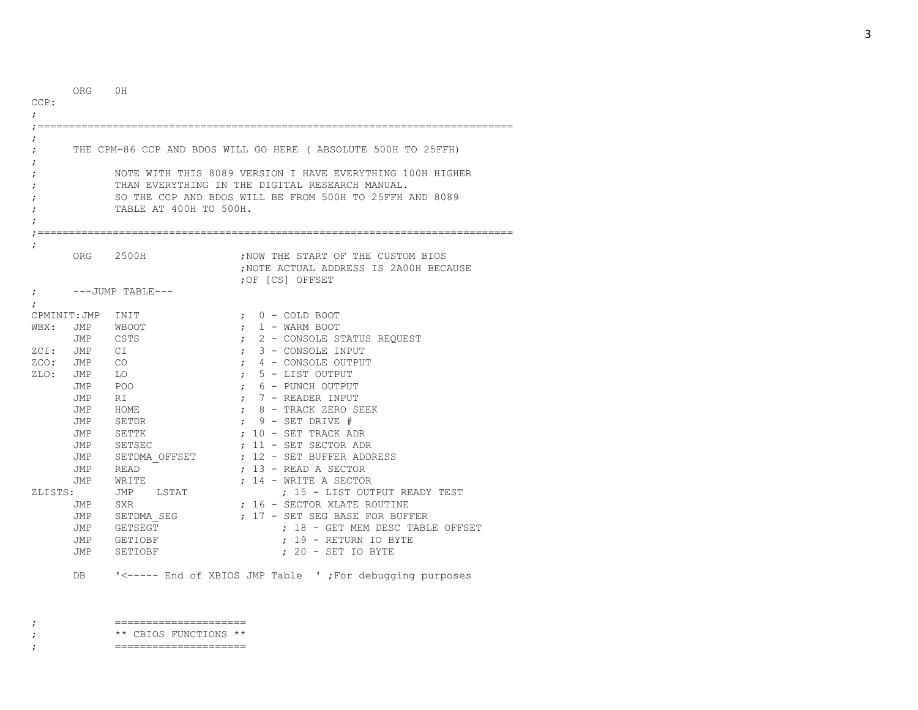| CCP:<br>; | <b>ORG</b>          | 0H                          |                                                                                                                                                                                                                                           |
|-----------|---------------------|-----------------------------|-------------------------------------------------------------------------------------------------------------------------------------------------------------------------------------------------------------------------------------------|
|           |                     | TABLE AT 400H TO 500H.      | THE CPM-86 CCP AND BDOS WILL GO HERE ( ABSOLUTE 500H TO 25FFH)<br>NOTE WITH THIS 8089 VERSION I HAVE EVERYTHING 100H HIGHER<br>THAN EVERYTHING IN THE DIGITAL RESEARCH MANUAL.<br>SO THE CCP AND BDOS WILL BE FROM 500H TO 25FFH AND 8089 |
| ;<br>÷    | ORG                 | 2500H<br>$---JUMP TABLE---$ | ; NOW THE START OF THE CUSTOM BIOS<br>NOTE ACTUAL ADDRESS IS 2A00H BECAUSE<br>;OF [CS] OFFSET                                                                                                                                             |
|           |                     |                             |                                                                                                                                                                                                                                           |
| WBX:      | CPMINIT: JMP<br>JMP | INIT<br><b>WBOOT</b>        | $0$ - COLD BOOT<br>$\ddot{ }$<br>1 - WARM BOOT                                                                                                                                                                                            |
|           | JMP                 | CSTS                        | $\ddot{ }$<br>2 - CONSOLE STATUS REQUEST<br>$\ddot{ }$                                                                                                                                                                                    |
| ZCI: JMP  |                     | СI                          | 3 - CONSOLE INPUT                                                                                                                                                                                                                         |
| ZCO: JMP  |                     | CO <sub>.</sub>             | 4 - CONSOLE OUTPUT<br>$\ddot{ }$                                                                                                                                                                                                          |
| ZLO: JMP  |                     | LO                          | 5 - LIST OUTPUT<br>$\ddot{ }$                                                                                                                                                                                                             |
|           | JMP                 | POO                         | 6 - PUNCH OUTPUT<br>$\ddot{ }$                                                                                                                                                                                                            |
|           | JMP                 | RI                          | 7 - READER INPUT<br>$\ddot{ }$                                                                                                                                                                                                            |
|           | JMP                 | HOME                        | 8 - TRACK ZERO SEEK<br>$\ddot{ }$                                                                                                                                                                                                         |
|           | JMP                 | SETDR                       | $9$ - SET DRIVE #                                                                                                                                                                                                                         |
|           | JMP                 | SETTK                       | $: 10 - SET$ TRACK ADR                                                                                                                                                                                                                    |
|           | JMP                 | SETSEC                      | $: 11 - SET$ SET OR ADR                                                                                                                                                                                                                   |
|           | JMP                 | SETDMA OFFSET               | : 12 - SET BUFFER ADDRESS                                                                                                                                                                                                                 |
|           | JMP                 | READ                        | $: 13$ - READ A SECTOR                                                                                                                                                                                                                    |
|           | JMP                 | WRITE                       | $: 14$ - WRITE A SECTOR                                                                                                                                                                                                                   |
| ZLISTS:   |                     | JMP<br>LSTAT                | : 15 - LIST OUTPUT READY TEST                                                                                                                                                                                                             |
|           | JMP                 | <b>SXR</b>                  | : 16 - SECTOR XLATE ROUTINE                                                                                                                                                                                                               |
|           | JMP                 | SETDMA SEG                  | : 17 - SET SEG BASE FOR BUFFER                                                                                                                                                                                                            |
|           | JMP                 | <b>GETSEGT</b>              | : 18 - GET MEM DESC TABLE OFFSET                                                                                                                                                                                                          |
|           | JMP                 | GETIOBF                     | : 19 - RETURN IO BYTE                                                                                                                                                                                                                     |
|           | JMP                 | SETIOBF                     | ; 20 - SET IO BYTE                                                                                                                                                                                                                        |
|           |                     |                             |                                                                                                                                                                                                                                           |

DB '<----- End of XBIOS JMP Table ' ;For debugging purposes

; \*\* CBIOS FUNCTIONS \*\*

; ===================== ; =====================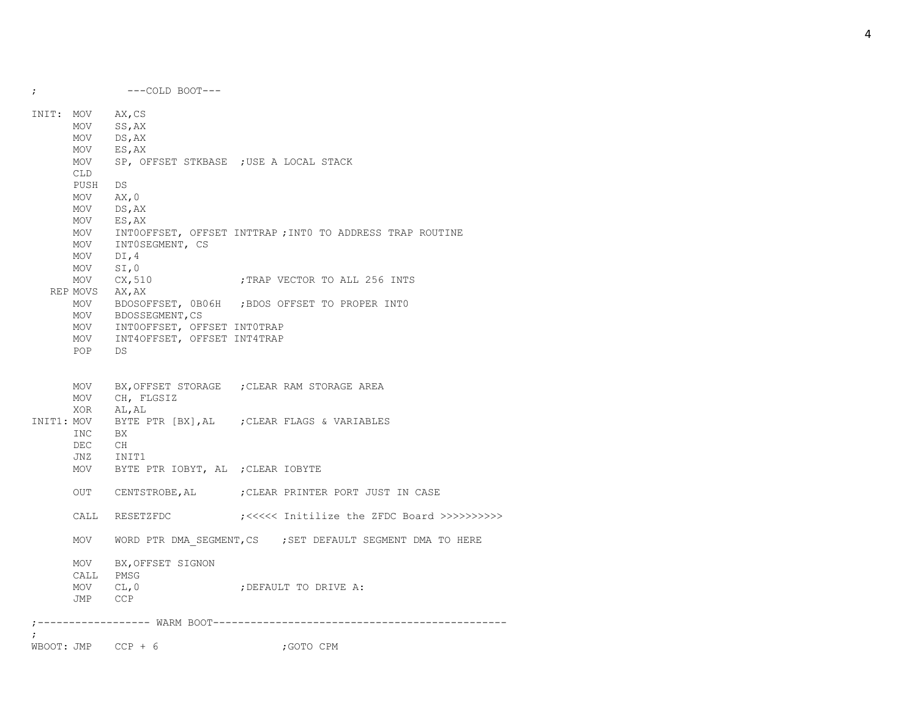; ---COLD BOOT--- INIT: MOV AX,CS MOV SS,AX MOV DS,AX MOV ES,AX MOV SP, OFFSET STKBASE ;USE A LOCAL STACK CLD PUSH DS MOV AX,0 MOV DS,AX MOV ES,AX MOV INT0OFFSET, OFFSET INTTRAP ;INT0 TO ADDRESS TRAP ROUTINE MOV INT0SEGMENT, CS MOV DI,4 MOV SI,0 MOV CX, 510 ;TRAP VECTOR TO ALL 256 INTS REP MOVS AX,AX MOV BDOSOFFSET, 0B06H ;BDOS OFFSET TO PROPER INT0 MOV BDOSSEGMENT, CS MOV INT0OFFSET, OFFSET INT0TRAP MOV INT4OFFSET, OFFSET INT4TRAP POP DS MOV BX, OFFSET STORAGE ; CLEAR RAM STORAGE AREA MOV CH, FLGSIZ XOR AL,AL INIT1: MOV BYTE PTR [BX],AL ;CLEAR FLAGS & VARIABLES INC BX DEC CH JNZ INIT1 MOV BYTE PTR IOBYT, AL ;CLEAR IOBYTE OUT CENTSTROBE, AL ; CLEAR PRINTER PORT JUST IN CASE CALL RESETZFDC ;<<<<< Initilize the ZFDC Board >>>>>>>>>> MOV WORD PTR DMA SEGMENT, CS ; SET DEFAULT SEGMENT DMA TO HERE MOV BX,OFFSET SIGNON CALL PMSG MOV CL, 0  $\qquad \qquad$  ; DEFAULT TO DRIVE A: JMP CCP ;------------------ WARM BOOT----------------------------------------------- ;  $WBOOT: JMP$   $CCP + 6$  ; GOTO  $CPM$ 

4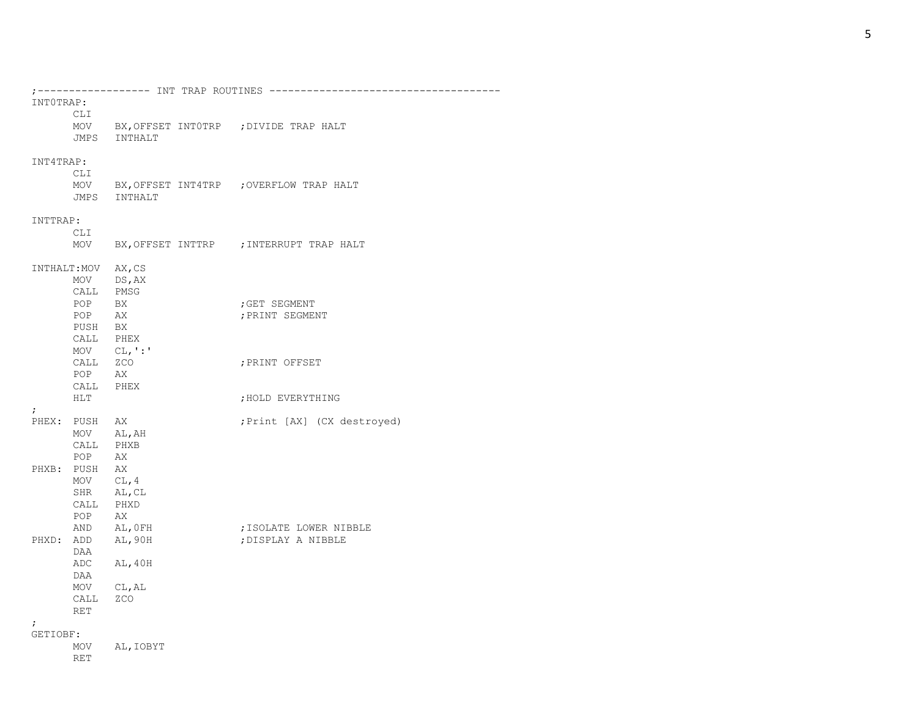| INTOTRAP:              |               |                                  |                                             |
|------------------------|---------------|----------------------------------|---------------------------------------------|
|                        | CLI           |                                  |                                             |
|                        |               |                                  | MOV BX, OFFSET INTOTRP ; DIVIDE TRAP HALT   |
|                        |               | JMPS INTHALT                     |                                             |
| INT4TRAP:              |               |                                  |                                             |
|                        | CLI           |                                  |                                             |
|                        |               | JMPS INTHALT                     | MOV BX, OFFSET INT4TRP ; OVERFLOW TRAP HALT |
| INTTRAP:               |               |                                  |                                             |
|                        | CLI           |                                  |                                             |
|                        |               |                                  | MOV BX, OFFSET INTTRP ; INTERRUPT TRAP HALT |
|                        |               | INTHALT: MOV AX, CS              |                                             |
|                        |               | MOV DS, AX                       |                                             |
|                        |               | CALL PMSG                        |                                             |
|                        | POP BX        |                                  | ; GET SEGMENT                               |
|                        | POP AX        |                                  | ; PRINT SEGMENT                             |
|                        | PUSH BX       |                                  |                                             |
|                        |               | CALL PHEX                        |                                             |
|                        |               | $MOV$ $CL, ' : '$                |                                             |
|                        | CALL ZCO      |                                  | ; PRINT OFFSET                              |
|                        | POP AX        |                                  |                                             |
|                        |               | CALL PHEX                        |                                             |
|                        | HLT           |                                  | ; HOLD EVERYTHING                           |
| $\ddot{ }$             | PHEX: PUSH AX |                                  | ; Print [AX] (CX destroyed)                 |
|                        |               | MOV AL, AH                       |                                             |
|                        |               | CALL PHXB                        |                                             |
|                        | POP AX        |                                  |                                             |
|                        | PHXB: PUSH AX |                                  |                                             |
|                        |               | MOV $CL, 4$                      |                                             |
|                        |               | SHR AL, CL                       |                                             |
|                        |               | CALL PHXD                        |                                             |
|                        | POP AX        |                                  |                                             |
|                        |               | AND AL, OFH<br>PHXD: ADD AL, 90H | ; ISOLATE LOWER NIBBLE                      |
|                        |               |                                  | ; DISPLAY A NIBBLE                          |
|                        | DAA           |                                  |                                             |
|                        |               | ADC AL, 40H                      |                                             |
|                        | DAA           |                                  |                                             |
|                        |               | MOV CL, AL                       |                                             |
|                        | CALL ZCO      |                                  |                                             |
|                        | <b>RET</b>    |                                  |                                             |
| $\ddot{ }$<br>GETIOBF: |               |                                  |                                             |
|                        |               | MOV AL, IOBYT                    |                                             |
|                        |               |                                  |                                             |

RET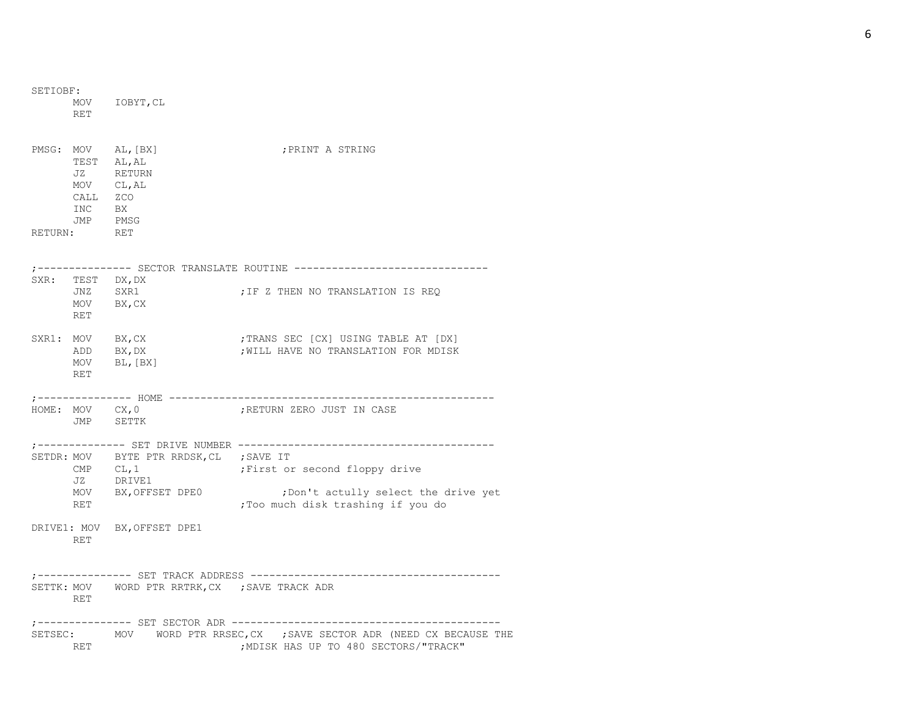| SETIOBF: |                           |                                                                      |                                                                                                                |
|----------|---------------------------|----------------------------------------------------------------------|----------------------------------------------------------------------------------------------------------------|
|          | <b>RET</b>                | MOV IOBYT, CL                                                        |                                                                                                                |
|          | CALL ZCO<br>INC BX<br>JMP | PMSG: MOV AL, [BX]<br>TEST AL, AL<br>JZ RETURN<br>MOV CL, AL<br>PMSG | ; PRINT A STRING                                                                                               |
|          | RETURN: RET               |                                                                      |                                                                                                                |
|          |                           |                                                                      | ;-------------- SECTOR TRANSLATE ROUTINE ------------------------------                                        |
|          | JNZ<br>RET                | SXR: TEST DX, DX<br>SXR1<br>$MOV$ $BX, CX$                           | ; IF Z THEN NO TRANSLATION IS REQ                                                                              |
|          | ADD<br>RET                | SXR1: MOV BX, CX<br>BX, DX<br>MOV BL, [BX]                           | ; TRANS SEC [CX] USING TABLE AT [DX]<br>; WILL HAVE NO TRANSLATION FOR MDISK                                   |
|          |                           |                                                                      |                                                                                                                |
|          |                           | HOME: MOV CX, 0<br>JMP SETTK                                         | ;RETURN ZERO JUST IN CASE                                                                                      |
|          |                           | SETDR: MOV BYTE PTR RRDSK, CL ; SAVE IT                              |                                                                                                                |
|          | CMP $CL, 1$               |                                                                      | First or second floppy drive                                                                                   |
|          | JZ<br>RET                 | DRIVE1<br>MOV BX, OFFSET DPE0                                        | ; Don't actully select the drive yet<br>;Too much disk trashing if you do                                      |
|          | RET                       | DRIVE1: MOV BX, OFFSET DPE1                                          |                                                                                                                |
|          |                           |                                                                      |                                                                                                                |
|          | RET                       | SETTK: MOV WORD PTR RRTRK, CX ; SAVE TRACK ADR                       |                                                                                                                |
|          |                           |                                                                      |                                                                                                                |
|          | RET                       |                                                                      | SETSEC: MOV WORD PTR RRSEC, CX ; SAVE SECTOR ADR (NEED CX BECAUSE THE<br>; MDISK HAS UP TO 480 SECTORS/"TRACK" |

6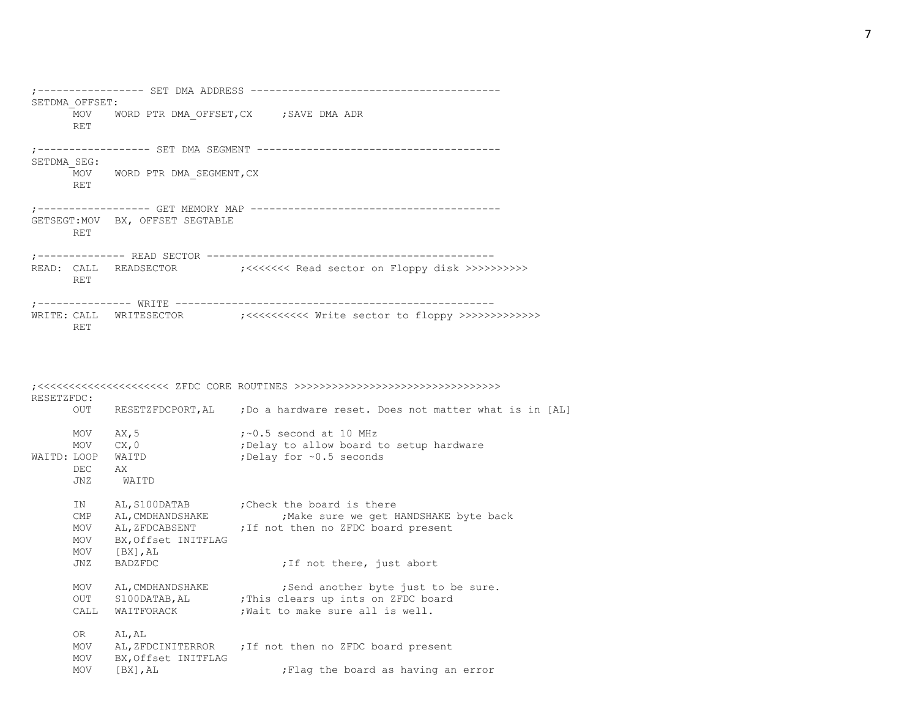|             | SETDMA OFFSET: | -------- SET DMA ADDRESS                 | -------------------                                                      |
|-------------|----------------|------------------------------------------|--------------------------------------------------------------------------|
|             | <b>RET</b>     |                                          | MOV WORD PTR DMA OFFSET, CX ; SAVE DMA ADR                               |
| SETDMA SEG: |                | ;------------------ SET DMA SEGMENT      | ----------                                                               |
|             | <b>RET</b>     | MOV WORD PTR DMA SEGMENT, CX             |                                                                          |
|             | <b>RET</b>     | GETSEGT: MOV BX, OFFSET SEGTABLE         |                                                                          |
|             | <b>RET</b>     | :-------------- READ SECTOR ------------ | READ: CALL READSECTOR :: /<<<<<<<<<<<<<<<<<>> call READ: CALL READSECTOR |
| WRITE: CALL | RET            |                                          |                                                                          |

| RESETZFDC:                                     |             |                                                                                                                                                                                |
|------------------------------------------------|-------------|--------------------------------------------------------------------------------------------------------------------------------------------------------------------------------|
| OUT                                            |             | RESETZFDCPORT, AL ; Do a hardware reset. Does not matter what is in [AL]                                                                                                       |
| MOV<br>MOV<br>WAITD: LOOP<br><b>DEC</b><br>JNZ | WAITD       | $:$ $\sim$ 0.5 second at 10 MHz<br>; Delay to allow board to setup hardware<br>;Delay for ~0.5 seconds                                                                         |
| IN<br>$\text{CMP}$<br>MOV<br>MOV<br>MOV        |             | AL, S100DATAB ; Check the board is there<br>; Make sure we get HANDSHAKE byte back<br>AL, ZFDCABSENT ; If not then no ZFDC board present<br>; If not there, just abort         |
| MOV<br>OUT<br>CALL                             |             | ; Send another byte just to be sure.<br>S100DATAB, AL ; This clears up ints on ZFDC board<br>; Wait to make sure all is well.                                                  |
| OR —<br>MOV<br>MOV<br><b>MOV</b>               | $[BX]$ , AL | AL, ZFDCINITERROR ; If not then no ZFDC board present<br>; Flag the board as having an error                                                                                   |
|                                                | JNZ.        | AX, 5<br>CX, 0<br>WAITD<br>AX<br>AL, CMDHANDSHAKE<br>BX, Offset INITFLAG<br>$[BX]$ , $AL$<br><b>BADZFDC</b><br>AL, CMDHANDSHAKE<br>WAITFORACK<br>AL, AL<br>BX, Offset INITFLAG |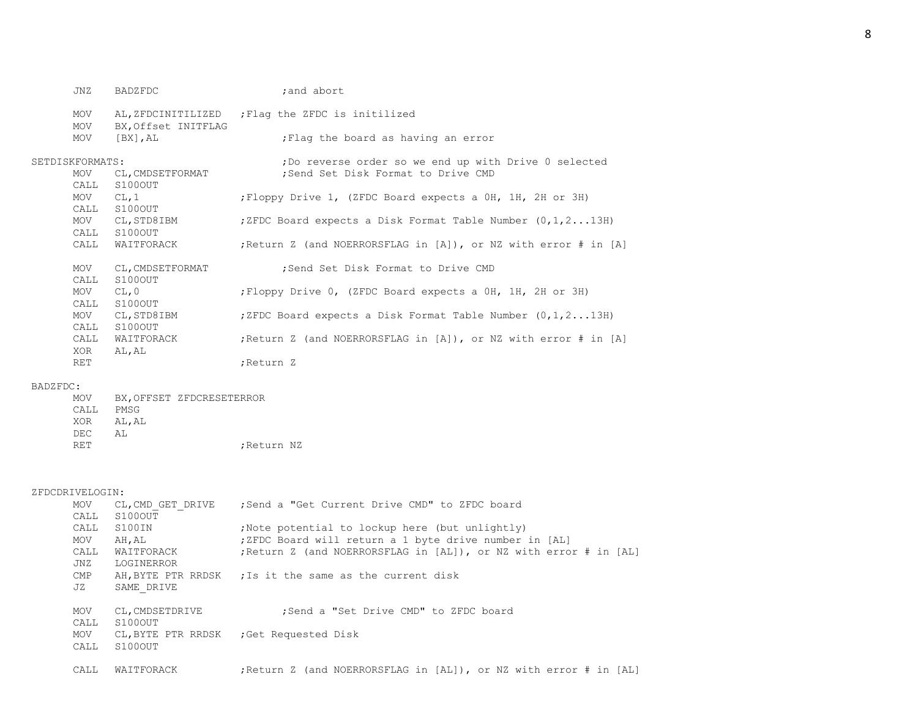| JNZ             | BADZFDC             | ; and abort                                                     |
|-----------------|---------------------|-----------------------------------------------------------------|
| MOV             | AL, ZFDCINITILIZED  | ; Flag the ZFDC is initilized                                   |
| MOV             | BX, Offset INITFLAG |                                                                 |
| MOV             | [BX],AL             | ; Flag the board as having an error                             |
| SETDISKFORMATS: |                     | ; Do reverse order so we end up with Drive 0 selected           |
| MOV             | CL, CMDSETFORMAT    | ; Send Set Disk Format to Drive CMD                             |
| CALL            | S100OUT             |                                                                 |
| MOV             | CL, 1               | ; Floppy Drive 1, (ZFDC Board expects a OH, 1H, 2H or 3H)       |
| CALL            | S100OUT             |                                                                 |
| MOV             | CL, STD8IBM         | ; ZFDC Board expects a Disk Format Table Number $(0, 1, 213H)$  |
| CALL            | S100OUT             |                                                                 |
| CALL            | WAITFORACK          | ; Return Z (and NOERRORSFLAG in [A]), or NZ with error # in [A] |
| MOV             | CL, CMDSETFORMAT    | : Send Set Disk Format to Drive CMD                             |
| CALL            | S100OUT             |                                                                 |
| MOV             | CL, 0               | ; Floppy Drive 0, (ZFDC Board expects a 0H, 1H, 2H or 3H)       |
| CALL            | S100OUT             |                                                                 |
| MOV             | CL, STD8IBM         | ; ZFDC Board expects a Disk Format Table Number $(0, 1, 213H)$  |
| CALL            | S100OUT             |                                                                 |
| CALL            | WAITFORACK          | ; Return Z (and NOERRORSFLAG in [A]), or NZ with error # in [A] |
| XOR             | AL, AL              |                                                                 |
| RET             |                     | ;Return Z                                                       |
|                 |                     |                                                                 |

## BADZFDC:

| MOV  |       | BX.OFFSET ZFDCRESETERROR |
|------|-------|--------------------------|
| CALL | PMSG  |                          |
| XOR  | AL.AL |                          |
| DEC. | AT.   |                          |
| RET  |       | ;Return NZ               |

### ZFDCDRIVELOGIN:

| KIVLLUGIN.                |                                                                   |
|---------------------------|-------------------------------------------------------------------|
| CL, CMD GET DRIVE<br>MOV  | :Send a "Get Current Drive CMD" to ZFDC board                     |
| S100OUT<br>CALL           |                                                                   |
| S100IN<br>CALL            | Note potential to lockup here (but unlightly)                     |
| MOV<br>AH, AL             | ;ZFDC Board will return a 1 byte drive number in [AL]             |
| CALL<br>WAITFORACK        | ; Return Z (and NOERRORSFLAG in [AL]), or NZ with error # in [AL] |
| JNZ<br>LOGINERROR         |                                                                   |
| CMP                       | AH, BYTE PTR RRDSK ; Is it the same as the current disk           |
| JZ<br>SAME DRIVE          |                                                                   |
|                           |                                                                   |
| CL, CMDSETDRIVE<br>MOV    | :Send a "Set Drive CMD" to ZFDC board                             |
| S100OUT<br>CALL           |                                                                   |
| CL, BYTE PTR RRDSK<br>MOV | Get Requested Disk;                                               |
| S100OUT<br>CALL           |                                                                   |
|                           |                                                                   |
| CALL<br>WAITFORACK        | ; Return Z (and NOERRORSFLAG in [AL]), or NZ with error # in [AL] |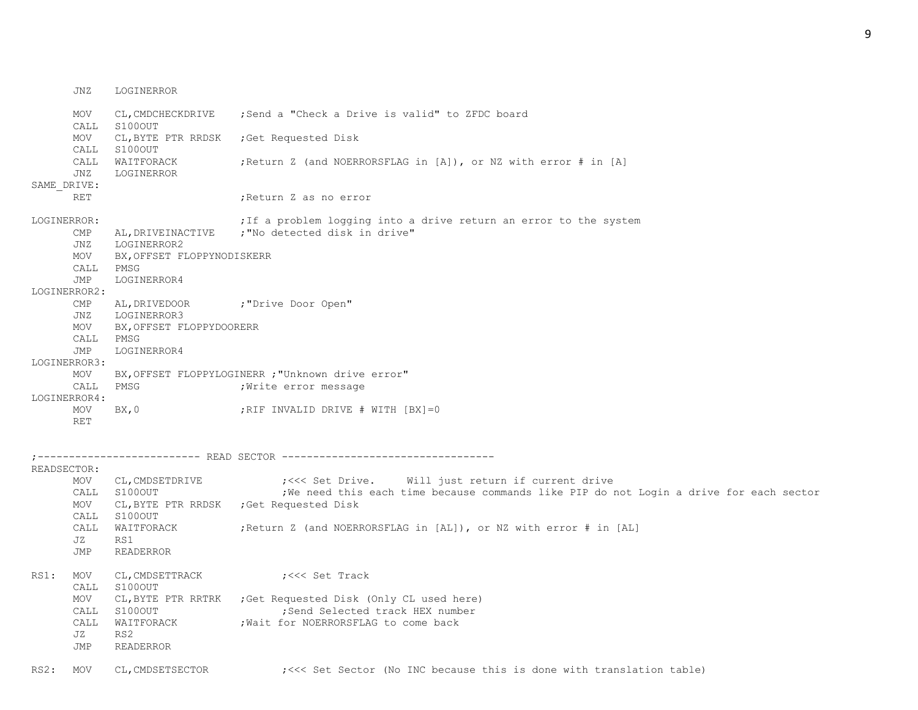MOV CL,CMDCHECKDRIVE ;Send a "Check a Drive is valid" to ZFDC board CALL S100OUT MOV CL,BYTE PTR RRDSK ;Get Requested Disk CALL S100OUT CALL WAITFORACK ;Return Z (and NOERRORSFLAG in [A]), or NZ with error # in [A] JNZ LOGINERROR SAME\_DRIVE: RET **in the set of the set of the set of the set of the set of the set of the set of the set of the set of the s** LOGINERROR: ; Tf a problem logging into a drive return an error to the system CMP AL, DRIVEINACTIVE ; "No detected disk in drive" JNZ LOGINERROR2 MOV BX,OFFSET FLOPPYNODISKERR CALL PMSG JMP LOGINERROR4 LOGINERROR2: CMP AL, DRIVEDOOR ; "Drive Door Open" JNZ LOGINERROR3 MOV BX,OFFSET FLOPPYDOORERR CALL PMSG JMP LOGINERROR4 LOGINERROR3: MOV BX,OFFSET FLOPPYLOGINERR ;"Unknown drive error" CALL PMSG ; Write error message LOGINERROR4: MOV BX, 0 ;RIF INVALID DRIVE # WITH [BX]=0 RET ;-------------------------- READ SECTOR ---------------------------------- READSECTOR: MOV CL,CMDSETDRIVE ;<<< Set Drive. Will just return if current drive CALL S100OUT ;We need this each time because commands like PIP do not Login a drive for each sector MOV CL, BYTE PTR RRDSK ; Get Requested Disk CALL S100OUT CALL WAITFORACK ;Return Z (and NOERRORSFLAG in [AL]), or NZ with error # in [AL] JZ RS1 JMP READERROR RS1: MOV CL, CMDSETTRACK ; <<< Set Track CALL S100OUT MOV CL,BYTE PTR RRTRK ;Get Requested Disk (Only CL used here) CALL S100OUT ;Send Selected track HEX number CALL WAITFORACK : Wait for NOERRORSFLAG to come back JZ RS2 JMP READERROR

RS2: MOV CL, CMDSETSECTOR ; <<< Set Sector (No INC because this is done with translation table)

JNZ LOGINERROR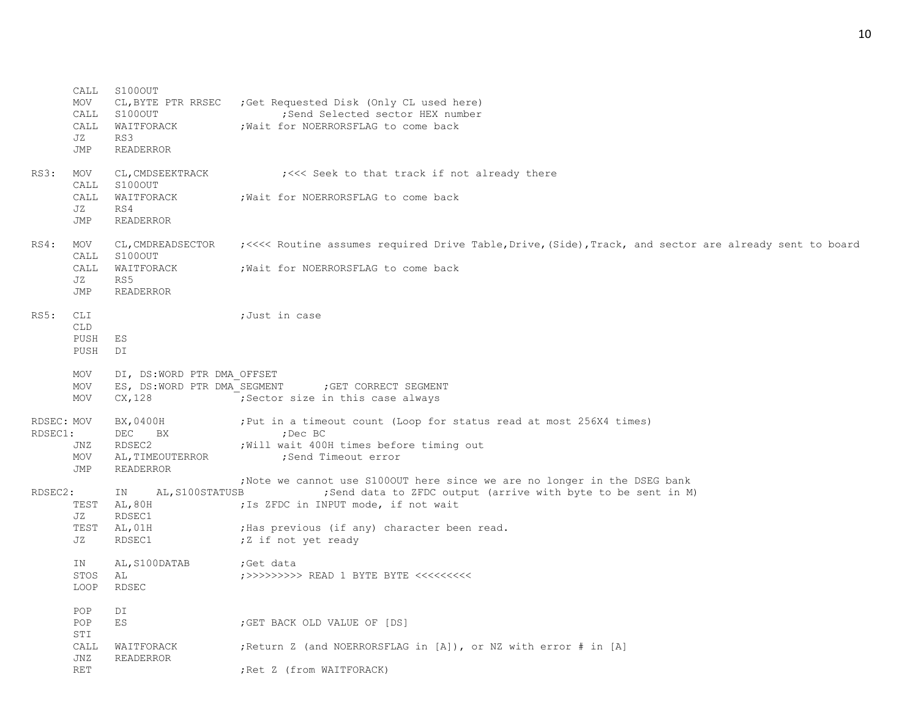|            | CALL        | S100OUT                       |                                                                                                         |
|------------|-------------|-------------------------------|---------------------------------------------------------------------------------------------------------|
|            | MOV<br>CALL | CL, BYTE PTR RRSEC<br>S100OUT | Get Requested Disk (Only CL used here)<br>; Send Selected sector HEX number                             |
|            | CALL        | WAITFORACK                    | ; Wait for NOERRORSFLAG to come back                                                                    |
|            | JZ          | RS3                           |                                                                                                         |
|            | JMP         | READERROR                     |                                                                                                         |
| RS3:       | MOV         | CL, CMDSEEKTRACK              | ; <<< Seek to that track if not already there                                                           |
|            | CALL        | S100OUT                       |                                                                                                         |
|            | CALL        | WAITFORACK                    | ; Wait for NOERRORSFLAG to come back                                                                    |
|            | JZ          | RS4                           |                                                                                                         |
|            | JMP         | <b>READERROR</b>              |                                                                                                         |
| RS4:       | MOV<br>CALL | CL, CMDREADSECTOR<br>S100OUT  | ; <<<< Routine assumes required Drive Table, Drive, (Side), Track, and sector are already sent to board |
|            | CALL        | WAITFORACK                    | ; Wait for NOERRORSFLAG to come back                                                                    |
|            | JZ          | RS5                           |                                                                                                         |
|            | JMP         | <b>READERROR</b>              |                                                                                                         |
| RS5:       | CLI         |                               | ;Just in case                                                                                           |
|            | <b>CLD</b>  |                               |                                                                                                         |
|            | PUSH        | ES                            |                                                                                                         |
|            | PUSH        | DI                            |                                                                                                         |
|            | MOV         | DI, DS:WORD PTR DMA OFFSET    |                                                                                                         |
|            | MOV         | ES, DS:WORD PTR DMA SEGMENT   | GET CORRECT SEGMENT                                                                                     |
|            | MOV         | CX, 128                       | ; Sector size in this case always                                                                       |
| RDSEC: MOV |             | BX,0400H                      | ; Put in a timeout count (Loop for status read at most 256X4 times)                                     |
| RDSEC1:    |             | DEC<br>BX                     | ;Dec BC                                                                                                 |
|            | JNZ         | RDSEC2                        | ; Will wait 400H times before timing out                                                                |
|            | MOV<br>JMP  | AL, TIMEOUTERROR              | ;Send Timeout error                                                                                     |
|            |             | <b>READERROR</b>              | ; Note we cannot use S1000UT here since we are no longer in the DSEG bank                               |
| RDSEC2:    |             | AL, S100STATUSB<br>IN         | ; Send data to ZFDC output (arrive with byte to be sent in M)                                           |
|            | TEST        | AL, 80H                       | ; Is ZFDC in INPUT mode, if not wait                                                                    |
|            | JZ          | RDSEC1                        |                                                                                                         |
|            |             | TEST AL, 01H                  | ; Has previous (if any) character been read.                                                            |
|            | JZ          | RDSEC1                        | ;Z if not yet ready                                                                                     |
|            | ΙN          | AL, S100DATAB                 | ;Get data                                                                                               |
|            | STOS AL     |                               | ;>>>>>>>>>> READ 1 BYTE BYTE <<<<<<<<<                                                                  |
|            | LOOP        | RDSEC                         |                                                                                                         |
|            | POP         | DI                            |                                                                                                         |
|            | POP         | ES                            | ; GET BACK OLD VALUE OF [DS]                                                                            |
|            | STI         |                               |                                                                                                         |
|            | CALL<br>JNZ | WAITFORACK<br>READERROR       | ; Return Z (and NOERRORSFLAG in $[A]$ ), or NZ with error # in $[A]$                                    |
|            | <b>RET</b>  |                               | ; Ret Z (from WAITFORACK)                                                                               |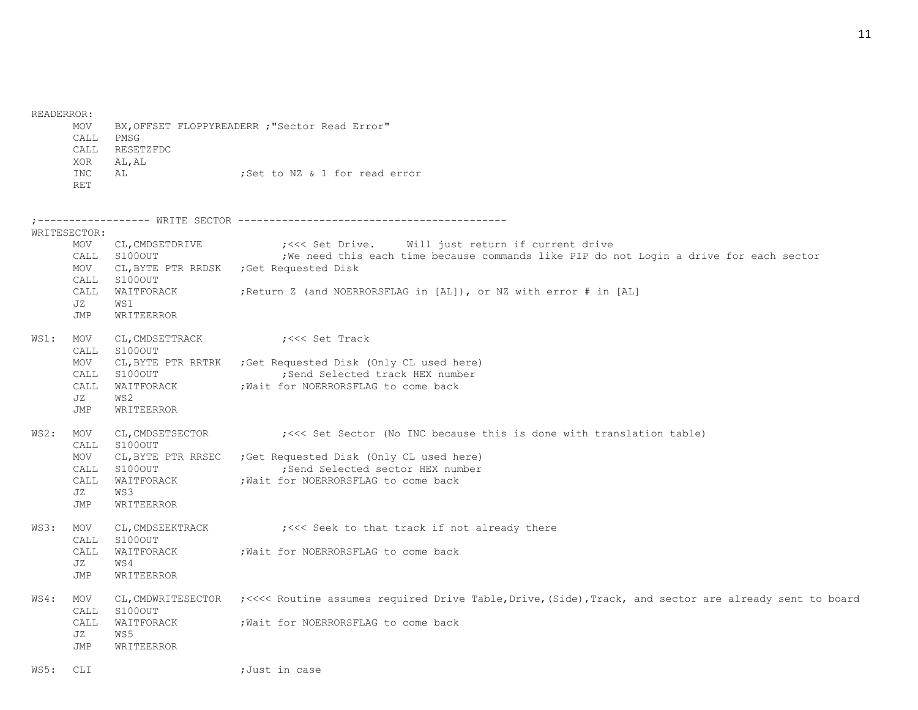READERROR:

| MOV  |                | BX, OFFSET FLOPPYREADERR ; "Sector Read Error" |  |  |  |                               |
|------|----------------|------------------------------------------------|--|--|--|-------------------------------|
| CALL | PMSG           |                                                |  |  |  |                               |
|      | CALL RESETZFDC |                                                |  |  |  |                               |
| XOR  | AL, AL         |                                                |  |  |  |                               |
| INC  | AL.            |                                                |  |  |  | :Set to NZ & 1 for read error |
| RET  |                |                                                |  |  |  |                               |

;------------------ WRITE SECTOR ------------------------------------------- WRITESECTOR: MOV CL,CMDSETDRIVE ;<<< Set Drive. Will just return if current drive CALL S1000UT : We need this each time because commands like PIP do not Login a drive for each sector MOV CL,BYTE PTR RRDSK ;Get Requested Disk CALL S100OUT CALL WAITFORACK ;Return Z (and NOERRORSFLAG in [AL]), or NZ with error # in [AL] JZ WS1 JMP WRITEERROR WS1: MOV CL, CMDSETTRACK ;<<< Set Track CALL S100OUT MOV CL,BYTE PTR RRTRK ;Get Requested Disk (Only CL used here) CALL S100OUT :Send Selected track HEX number CALL WAITFORACK : Wait for NOERRORSFLAG to come back JZ WS2 JMP WRITEERROR WS2: MOV CL, CMDSETSECTOR ; <<< Set Sector (No INC because this is done with translation table) CALL S100OUT MOV CL,BYTE PTR RRSEC ;Get Requested Disk (Only CL used here) CALL S100OUT ;Send Selected sector HEX number CALL WAITFORACK ; Wait for NOERRORSFLAG to come back JZ WS3 JMP WRITEERROR WS3: MOV CL, CMDSEEKTRACK ;<<< Seek to that track if not already there CALL S100OUT CALL WAITFORACK ; Wait for NOERRORSFLAG to come back JZ WS4 JMP WRITEERROR WS4: MOV CL,CMDWRITESECTOR ;<<<< Routine assumes required Drive Table,Drive,(Side),Track, and sector are already sent to board CALL S100OUT CALL WAITFORACK ;Wait for NOERRORSFLAG to come back JZ WS5 JMP WRITEERROR

WS5: CLI ;Just in case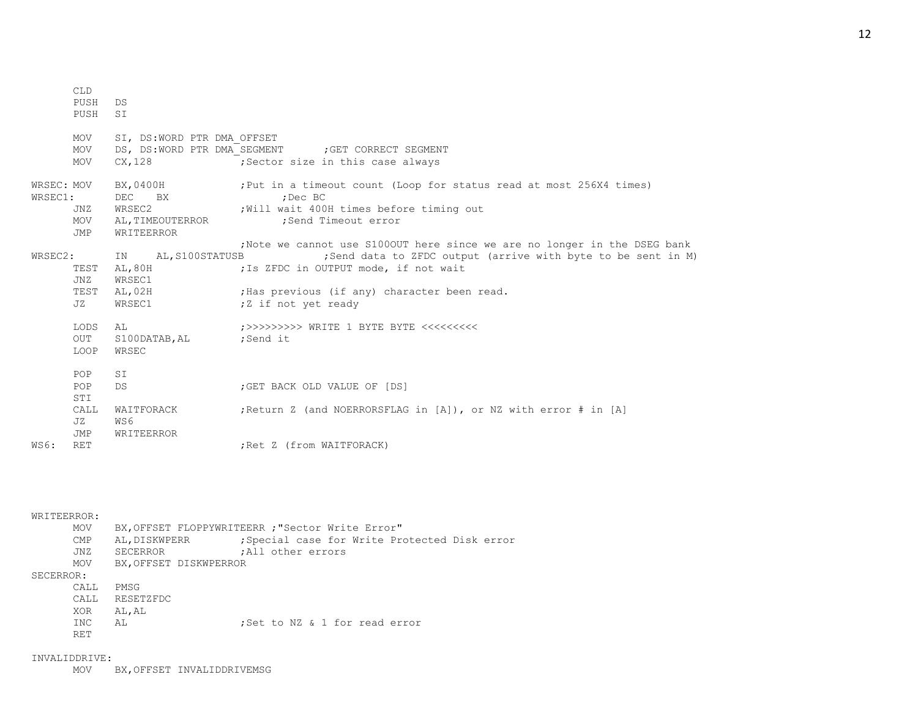|                       | <b>CLD</b><br>PUSH<br>PUSH | DS<br>SI                                                          |                                                                                                                                                                                                                              |
|-----------------------|----------------------------|-------------------------------------------------------------------|------------------------------------------------------------------------------------------------------------------------------------------------------------------------------------------------------------------------------|
|                       | MOV<br>MOV<br>MOV          | SI, DS:WORD PTR DMA OFFSET<br>CX, 128                             | DS, DS:WORD PTR DMA SEGMENT ; GET CORRECT SEGMENT<br>Sector size in this case always                                                                                                                                         |
| WRSEC: MOV<br>WRSEC1: | JNZ<br>MOV<br>JMP          | BX, 0400H<br>DEC BX<br>WRSEC2<br>AL, TIMEOUTERROR<br>WRITEERROR   | ; Put in a timeout count (Loop for status read at most 256X4 times)<br>:Dec BC<br>Will wait 400H times before timing out<br>;Send Timeout error<br>; Note we cannot use S1000UT here since we are no longer in the DSEG bank |
| WRSEC2:               | TEST<br>JNZ<br>JZ          | IN AL, S100STATUSB<br>AL, 80H<br>WRSEC1<br>TEST AL, 02H<br>WRSEC1 | ; Send data to ZFDC output (arrive with byte to be sent in M)<br>; Is ZFDC in OUTPUT mode, if not wait<br>; Has previous (if any) character been read.<br>;Z if not yet ready                                                |
|                       | LODS<br>OUT<br>LOOP        | AL<br>S100DATAB, AL ; Send it<br>WRSEC                            | ;>>>>>>>>>> WRITE 1 BYTE BYTE <<<<<<<<                                                                                                                                                                                       |
|                       | POP<br>POP<br>STI          | SI<br>DS                                                          | ; GET BACK OLD VALUE OF [DS]                                                                                                                                                                                                 |
|                       | CALL<br>JZ<br>JMP          | WAITFORACK<br>WS6<br><b>WRITEERROR</b>                            | ; Return Z (and NOERRORSFLAG in [A]), or NZ with error # in [A]                                                                                                                                                              |
| WS6:                  | <b>RET</b>                 |                                                                   | ; Ret Z (from WAITFORACK)                                                                                                                                                                                                    |

## WRITEERROR:

| MOV         | BX, OFFSET FLOPPYWRITEERR ; "Sector Write Error" |                   |                                               |  |  |
|-------------|--------------------------------------------------|-------------------|-----------------------------------------------|--|--|
| <b>CMP</b>  | AL, DISKWPERR                                    |                   | ; Special case for Write Protected Disk error |  |  |
| JNZ         | SECERROR                                         | All other errors, |                                               |  |  |
| <b>MOV</b>  | BX, OFFSET DISKWPERROR                           |                   |                                               |  |  |
| SECERROR:   |                                                  |                   |                                               |  |  |
| <b>CALL</b> | PMSG                                             |                   |                                               |  |  |
| <b>CALL</b> | RESETZFDC                                        |                   |                                               |  |  |
| XOR         | AL, AL                                           |                   |                                               |  |  |
| INC.        | AL.                                              |                   | ;Set to NZ & 1 for read error                 |  |  |
| <b>RET</b>  |                                                  |                   |                                               |  |  |

#### INVALIDDRIVE:

MOV BX,OFFSET INVALIDDRIVEMSG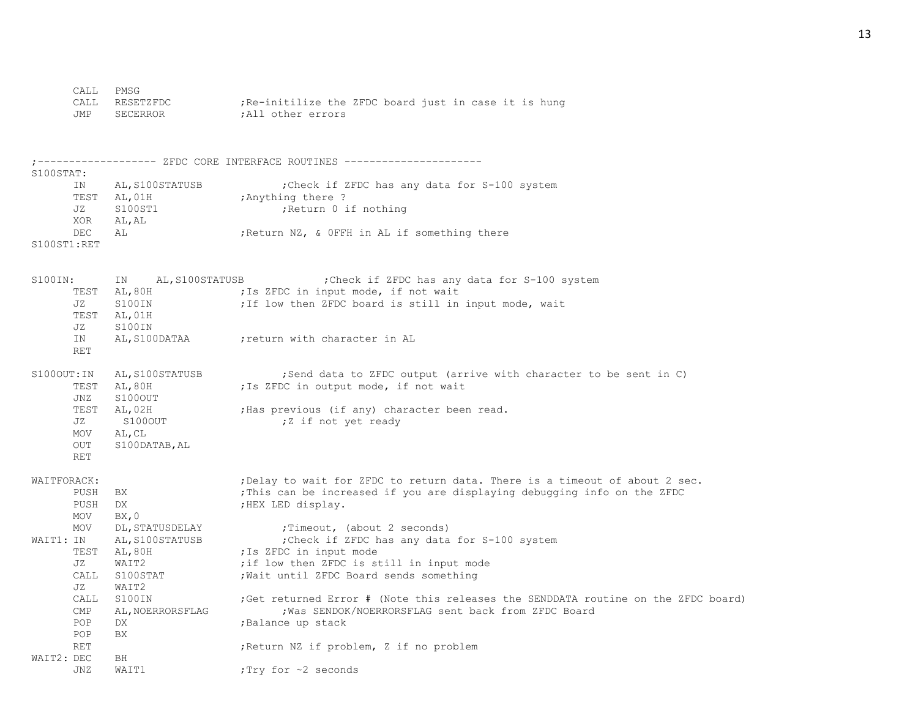| CALL PMSG |                |                                                     |
|-----------|----------------|-----------------------------------------------------|
|           | CALL RESETZFDC | Re-initilize the ZFDC board just in case it is hung |
| JMP       | SECERROR       | :All other errors                                   |

;------------------- ZFDC CORE INTERFACE ROUTINES ---------------------- S100STAT: IN AL,S100STATUSB ;Check if ZFDC has any data for S-100 system TEST AL, 01H ; Anything there ? JZ S100ST1 ;Return 0 if nothing XOR AL,AL DEC AL ;Return NZ, & OFFH in AL if something there S100ST1:RET S100IN: IN AL,S100STATUSB ;Check if ZFDC has any data for S-100 system TEST AL, 80H ; Is ZFDC in input mode, if not wait JZ S100IN ; If low then ZFDC board is still in input mode, wait TEST AL,01H JZ S100IN IN AL, S100DATAA ; return with character in AL RET S100OUT:IN AL,S100STATUSB ;Send data to ZFDC output (arrive with character to be sent in C) TEST AL, 80H ;Is ZFDC in output mode, if not wait JNZ S100OUT TEST AL, 02H ;Has previous (if any) character been read. JZ S100OUT ;Z if not yet ready MOV AL,CL OUT S100DATAB,AL RET WAITFORACK:  $\qquad \qquad$  ; Delay to wait for ZFDC to return data. There is a timeout of about 2 sec. PUSH BX ;This can be increased if you are displaying debugging info on the ZFDC PUSH DX ;HEX LED display. MOV BX,0 MOV DL, STATUSDELAY ; Timeout, (about 2 seconds) WAIT1: IN AL, S100STATUSB ; Check if ZFDC has any data for S-100 system TEST AL, 80H ; Is ZFDC in input mode JZ WAIT2  $\qquad \qquad$  ; if low then ZFDC is still in input mode CALL S100STAT ; Wait until ZFDC Board sends something JZ WAIT2 CALL S100IN ;Get returned Error # (Note this releases the SENDDATA routine on the ZFDC board) CMP AL,NOERRORSFLAG ; Was SENDOK/NOERRORSFLAG sent back from ZFDC Board POP DX ; Balance up stack POP BX RET **induces in the Return NZ** if problem, Z if no problem WAIT2: DEC BH JNZ WAIT1  $;Try$  for ~2 seconds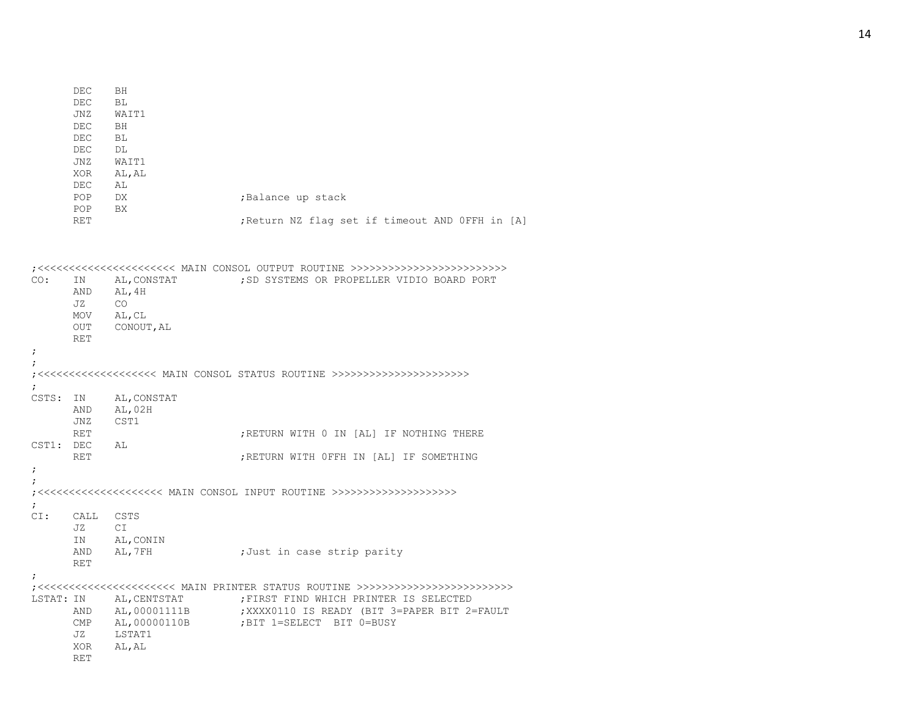|                          | DEC<br>DEC.<br>JNZ<br>DEC.<br>DEC<br>DEC.<br>JNZ<br>XOR<br>DEC. | BH<br>BL<br>WAIT1<br>BH<br>BL<br>DL<br>WAIT1<br>AL, AL<br>AL                    |                                                                                                                 |
|--------------------------|-----------------------------------------------------------------|---------------------------------------------------------------------------------|-----------------------------------------------------------------------------------------------------------------|
|                          | POP.<br>POP.                                                    | DX<br>BX.                                                                       | ; Balance up stack                                                                                              |
|                          | RET                                                             |                                                                                 | ; Return NZ flag set if timeout AND OFFH in [A]                                                                 |
| CO:<br>$\ddot{ }$        | ΙN<br>AND<br>JZ<br>MOV<br>OUT<br><b>RET</b>                     | AL, CONSTAT<br>AL, 4H<br>CO <sub>.</sub><br>AL, CL<br>CONOUT, AL                | ; SD SYSTEMS OR PROPELLER VIDIO BOARD PORT                                                                      |
| $\ddot{ }$               |                                                                 |                                                                                 |                                                                                                                 |
| $\ddot{ }$<br>CSTS:      | IN<br>AND<br>JNZ<br>RET<br>CST1: DEC AL                         | AL, CONSTAT<br>AL,02H<br>CST1                                                   | ; RETURN WITH 0 IN [AL] IF NOTHING THERE                                                                        |
|                          | <b>RET</b>                                                      |                                                                                 | ; RETURN WITH OFFH IN [AL] IF SOMETHING                                                                         |
| $\ddot{ }$<br>$\ddot{ }$ |                                                                 |                                                                                 |                                                                                                                 |
| $\ddot{ }$<br>CI:        | CALL<br>JZ<br>ΙN                                                | CSTS<br>C1<br>AL, CONIN<br>AND AL, 7FH                                          | ;Just in case strip parity                                                                                      |
|                          | <b>RET</b>                                                      |                                                                                 |                                                                                                                 |
|                          | AND<br>JZ<br>XOR<br><b>RET</b>                                  | LSTAT: IN AL, CENTSTAT<br>AL,00001111B<br>CMP AL, 00000110B<br>LSTAT1<br>AL, AL | FIRST FIND WHICH PRINTER IS SELECTED<br>XXXX0110 IS READY (BIT 3=PAPER BIT 2=FAULT)<br>BIT 1=SELECT BIT 0=BUSY; |

# 14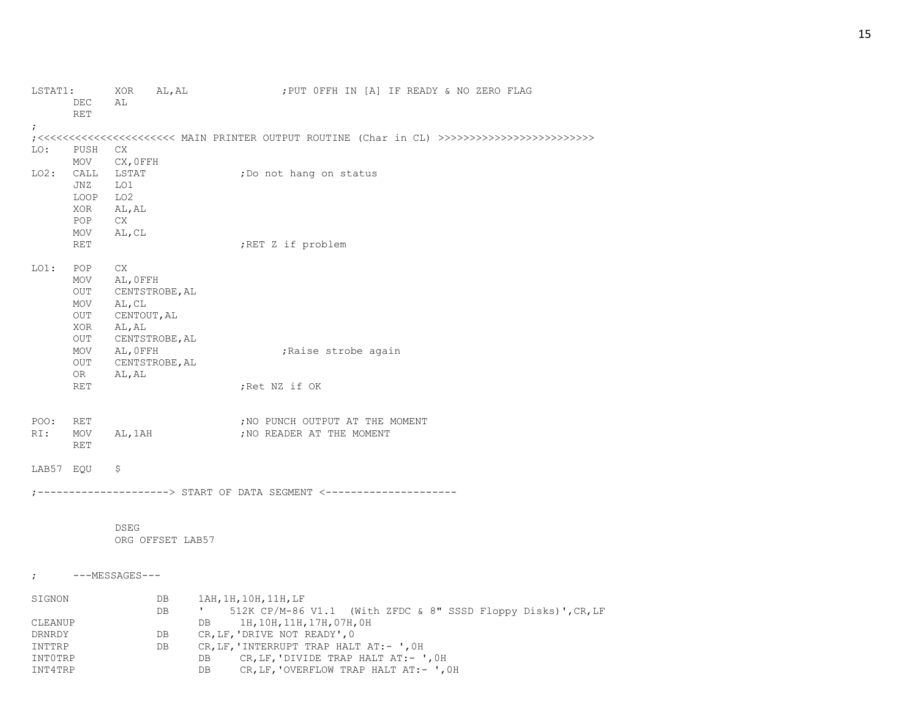| LSTAT1:           |                   | AL, AL<br>XOR            | ; PUT OFFH IN [A] IF READY & NO ZERO FLAG                               |
|-------------------|-------------------|--------------------------|-------------------------------------------------------------------------|
|                   | DEC<br><b>RET</b> | AL                       |                                                                         |
| ÷.                |                   |                          |                                                                         |
|                   |                   |                          |                                                                         |
| LO:               | PUSH              | CX.                      |                                                                         |
|                   | MOV               | CX, OFFH                 |                                                                         |
| LO2:              | CALL<br>JNZ       | LSTAT<br>LO1             | ;Do not hang on status                                                  |
|                   | LOOP              | LO <sub>2</sub>          |                                                                         |
|                   | XOR               | AL, AL                   |                                                                         |
|                   | POP.              | CX.                      |                                                                         |
|                   | MOV               | AL, CL                   |                                                                         |
|                   | <b>RET</b>        |                          | ;RET Z if problem                                                       |
|                   |                   |                          |                                                                         |
| $LO1$ :           | POP               | CX                       |                                                                         |
|                   | MOV               | AL, OFFH                 |                                                                         |
|                   | OUT               | CENTSTROBE, AL           |                                                                         |
|                   | MOV               | AL, CL                   |                                                                         |
|                   | OUT               | CENTOUT, AL              |                                                                         |
|                   | XOR<br>OUT        | AL, AL<br>CENTSTROBE, AL |                                                                         |
|                   | MOV               | AL, OFFH                 | ;Raise strobe again                                                     |
|                   | OUT               | CENTSTROBE, AL           |                                                                         |
|                   | OR.               | AL, AL                   |                                                                         |
|                   | <b>RET</b>        |                          | ;Ret NZ if OK                                                           |
|                   |                   |                          |                                                                         |
|                   |                   |                          |                                                                         |
| POO:<br>RI:       | RET<br>MOV        | AL, 1AH                  | ; NO PUNCH OUTPUT AT THE MOMENT<br>; NO READER AT THE MOMENT            |
|                   | <b>RET</b>        |                          |                                                                         |
|                   |                   |                          |                                                                         |
| LAB57 EOU         |                   | $\varsigma$              |                                                                         |
|                   |                   |                          |                                                                         |
|                   |                   |                          | ;--------------------> START OF DATA SEGMENT <--------------------      |
|                   |                   |                          |                                                                         |
|                   |                   |                          |                                                                         |
|                   |                   | DSEG                     |                                                                         |
|                   |                   | ORG OFFSET LAB57         |                                                                         |
|                   |                   |                          |                                                                         |
|                   |                   | ;    ---MESSAGES---      |                                                                         |
|                   |                   |                          |                                                                         |
| SIGNON            |                   | DB                       | 1AH, 1H, 10H, 11H, LF                                                   |
|                   |                   | DB                       | ' 512K CP/M-86 V1.1 (With ZFDC & 8" SSSD Floppy Disks)', CR, LF         |
| CLEANUP<br>DRNRDY |                   | DB                       | 1H, 10H, 11H, 17H, 07H, 0H<br>DB                                        |
| INTTRP            |                   | DB                       | CR, LF, 'DRIVE NOT READY', 0<br>CR, LF, 'INTERRUPT TRAP HALT AT:- ', OH |
| INTOTRP           |                   |                          | CR, LF, 'DIVIDE TRAP HALT AT:- ', OH<br>DB.                             |
| INT4TRP           |                   |                          | CR, LF, 'OVERFLOW TRAP HALT AT:- ', OH<br>DB                            |
|                   |                   |                          |                                                                         |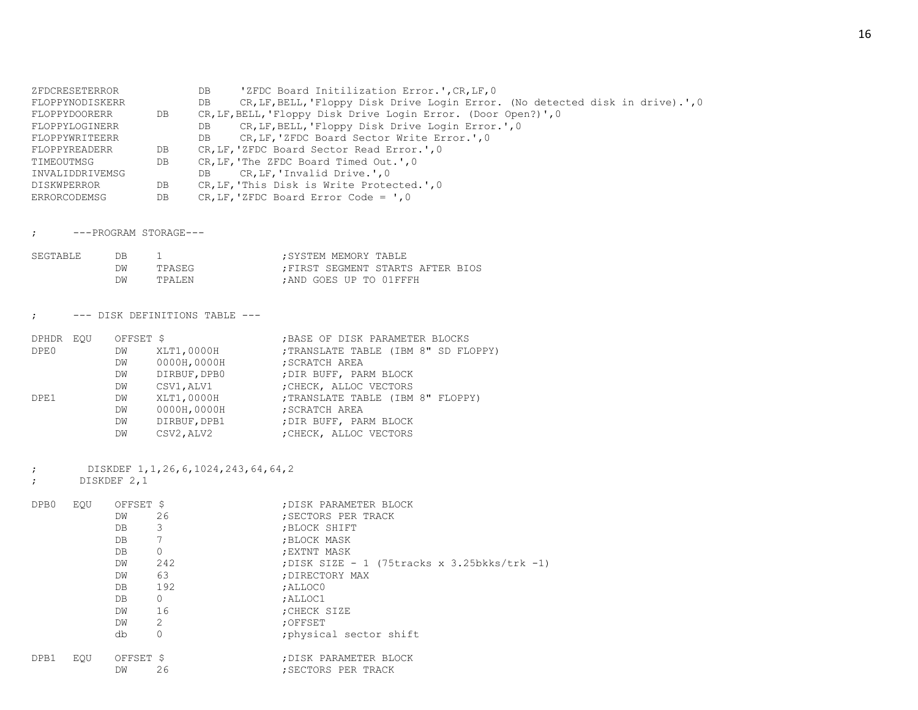| ZFDCRESETERROR      |    | DB  | 'ZFDC Board Initilization Error.', CR, LF, 0                                   |
|---------------------|----|-----|--------------------------------------------------------------------------------|
| FLOPPYNODISKERR     |    | DB  | CR, LF, BELL, 'Floppy Disk Drive Login Error. (No detected disk in drive).', 0 |
| FLOPPYDOORERR       | DB |     | CR, LF, BELL, 'Floppy Disk Drive Login Error. (Door Open?)', 0                 |
| FLOPPYLOGINERR      |    | DB  | CR, LF, BELL, 'Floppy Disk Drive Login Error.', 0                              |
| FLOPPYWRITEERR      |    | DB. | CR, LF, 'ZFDC Board Sector Write Error.', 0                                    |
| FLOPPYREADERR       | DB |     | CR, LF, 'ZFDC Board Sector Read Error.', 0                                     |
| TIMEOUTMSG          | DB |     | CR, LF, 'The ZFDC Board Timed Out.', 0                                         |
| INVALIDDRIVEMSG     |    | DB  | CR, LF, 'Invalid Drive.', 0                                                    |
| <b>DISKWPERROR</b>  | DB |     | CR, LF, 'This Disk is Write Protected.', 0                                     |
| <b>ERRORCODEMSG</b> | DB |     | $CR, LF, 'ZFDC Board Error Code = ', 0$                                        |

; ---PROGRAM STORAGE---

| SEGTABLE | DΒ |         | SYSTEM MEMORY TABLE:   |                                 |
|----------|----|---------|------------------------|---------------------------------|
|          | DW | TPASEG  |                        | FIRST SEGMENT STARTS AFTER BIOS |
|          | DM | TPALEN. | :AND GOES UP TO 01FFFH |                                 |

; --- DISK DEFINITIONS TABLE ---

| DPHDR EOU | OFFSET \$ |              | ; BASE OF DISK PARAMETER BLOCKS      |
|-----------|-----------|--------------|--------------------------------------|
| DPE0      | DW        | XLT1,0000H   | ; TRANSLATE TABLE (IBM 8" SD FLOPPY) |
|           | DW        | 0000H,0000H  | ; SCRATCH AREA                       |
|           | DW        | DIRBUF, DPB0 | ; DIR BUFF, PARM BLOCK               |
|           | DW        | CSV1,ALV1    | ; CHECK, ALLOC VECTORS               |
| DPE1      | DW        | XLT1,0000H   | ; TRANSLATE TABLE (IBM 8" FLOPPY)    |
|           | DW        | 0000H,0000H  | SCRATCH AREA                         |
|           | DW        | DIRBUF, DPB1 | ; DIR BUFF, PARM BLOCK               |
|           | DW        | CSV2, ALV2   | ; CHECK, ALLOC VECTORS               |
|           |           |              |                                      |

; DISKDEF 1,1,26,6,1024,243,64,64,2

; DISKDEF 2,1

| DPB0 | EOU | OFFSET \$<br>DW<br>DB<br>DB.<br>DB.<br>DW<br>DW<br>DB<br>DB.<br>DW<br>DW<br>db | 26<br>3<br>$\circ$<br>242<br>63<br>192<br>$\circ$<br>16<br>2<br>0 | ; DISK PARAMETER BLOCK<br>: SECTORS PER TRACK<br>: BLOCK SHIFT<br>; BLOCK MASK<br>; EXTNT MASK<br>; DISK SIZE - 1 (75tracks x 3.25bkks/trk -1)<br>; DIRECTORY MAX<br>; ALLOCO<br>; ALLOC1<br>: CHECK SIZE<br>: OFFSET<br>physical sector shift |
|------|-----|--------------------------------------------------------------------------------|-------------------------------------------------------------------|------------------------------------------------------------------------------------------------------------------------------------------------------------------------------------------------------------------------------------------------|
| DPB1 | EOU | OFFSET \$<br>DW                                                                | 26                                                                | ; DISK PARAMETER BLOCK<br>: SECTORS PER TRACK                                                                                                                                                                                                  |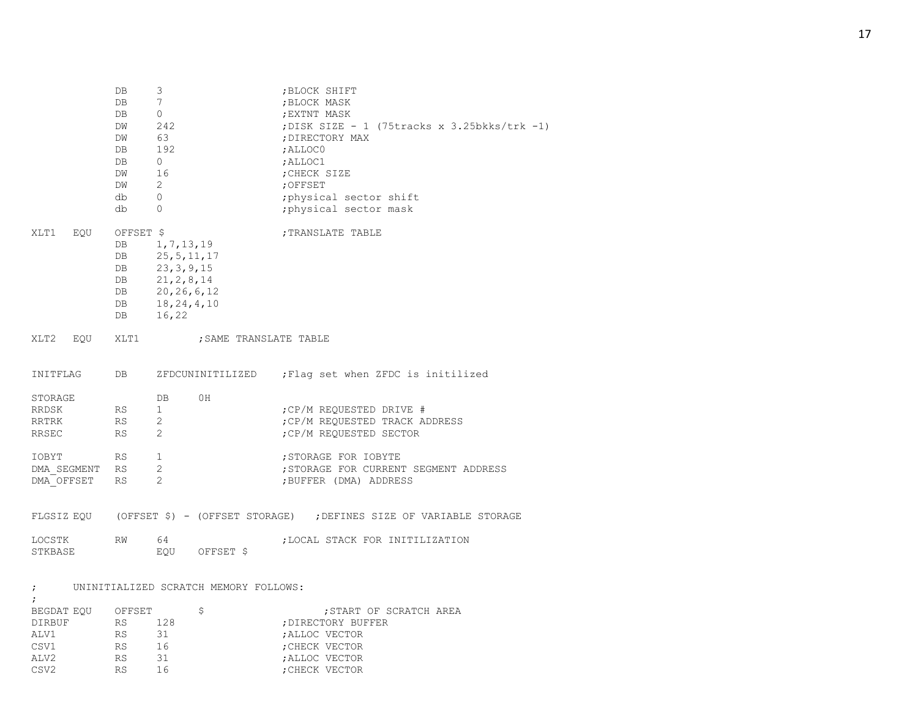|                                    | DB<br>DB<br>DB<br>DW<br>DW<br>DB<br>DB<br>DW<br>DW<br>db<br>db | 3<br>$7\overline{ }$<br>$\circ$<br>242<br>63<br>192<br>$\overline{0}$<br>16<br>$\overline{2}$<br>$\circ$<br>$\Omega$ | ; BLOCK SHIFT<br>; BLOCK MASK<br>; EXTNT MASK<br>; DISK SIZE - 1 (75tracks x 3.25bkks/trk -1)<br>; DIRECTORY MAX<br>; ALLOCO<br>; ALLOC1<br>; CHECK SIZE<br>; OFFSET<br>; physical sector shift<br>; physical sector mask |
|------------------------------------|----------------------------------------------------------------|----------------------------------------------------------------------------------------------------------------------|---------------------------------------------------------------------------------------------------------------------------------------------------------------------------------------------------------------------------|
| XLT1<br>EQU                        | OFFSET \$<br>DB<br>DB<br>DB<br>DB<br>L.<br>DB<br>DB<br>DB      | 1,7,13,19<br>25, 5, 11, 17<br>23, 3, 9, 15<br>21, 2, 8, 14<br>20, 26, 6, 12<br>18, 24, 4, 10<br>16,22                | ; TRANSLATE TABLE                                                                                                                                                                                                         |
| XLT2 EQU                           | XLT1                                                           | ; SAME TRANSLATE TABLE                                                                                               |                                                                                                                                                                                                                           |
| INITFLAG                           | DB                                                             | ZFDCUNINITILIZED                                                                                                     | ; Flag set when ZFDC is initilized                                                                                                                                                                                        |
| STORAGE<br>RRDSK<br>RRTRK<br>RRSEC | RS<br>RS<br>RS.                                                | 0H<br>DB<br>$\mathbf{1}$<br>$\overline{2}$<br>$\overline{2}$                                                         | ; CP/M REQUESTED DRIVE #<br>; CP/M REQUESTED TRACK ADDRESS<br>; CP/M REOUESTED SECTOR                                                                                                                                     |
| IOBYT<br>DMA SEGMENT<br>DMA OFFSET | <b>RS</b><br><b>RS</b><br><b>RS</b>                            | $\mathbf{1}$<br>$\mathbf{2}$<br>2                                                                                    | ; STORAGE FOR IOBYTE<br>; STORAGE FOR CURRENT SEGMENT ADDRESS<br>; BUFFER (DMA) ADDRESS                                                                                                                                   |
|                                    |                                                                |                                                                                                                      | FLGSIZ EQU (OFFSET \$) - (OFFSET STORAGE) ; DEFINES SIZE OF VARIABLE STORAGE                                                                                                                                              |
| LOCSTK<br>STKBASE                  | <b>RW</b>                                                      | 64<br>EOU<br>OFFSET \$                                                                                               | ; LOCAL STACK FOR INITILIZATION                                                                                                                                                                                           |

; UNINITIALIZED SCRATCH MEMORY FOLLOWS:

| BEGDAT EOU       | OFFSET |     | : START OF SCRATCH AREA |
|------------------|--------|-----|-------------------------|
| DIRBUF           | RS     | 128 | ; DIRECTORY BUFFER      |
| ALV1             | RS     | 31  | : ALLOC VECTOR          |
| CSV1             | RS     | 16  | ; CHECK VECTOR          |
| ALV <sub>2</sub> | RS     | 31  | ; ALLOC VECTOR          |
| CSV <sub>2</sub> | RS     | 16  | ; CHECK VECTOR          |